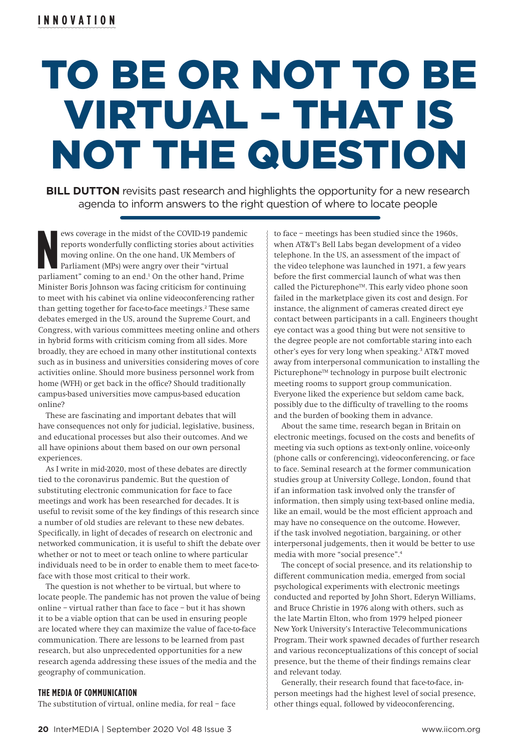# TO BE OR NOT TO BE VIRTUAL – THAT IS NOT THE QUESTION

**BILL DUTTON** revisits past research and highlights the opportunity for a new research agenda to inform answers to the right question of where to locate people

**N** ews coverage in the midst of the COVID-19 pandemic reports wonderfully conflicting stories about activities moving online. On the one hand, UK Members of Parliament (MPs) were angry over their "virtual parliament" coming to an end.<sup>1</sup> On the other hand, Prime Minister Boris Johnson was facing criticism for continuing to meet with his cabinet via online videoconferencing rather than getting together for face-to-face meetings.<sup>2</sup> These same debates emerged in the US, around the Supreme Court, and Congress, with various committees meeting online and others in hybrid forms with criticism coming from all sides. More broadly, they are echoed in many other institutional contexts such as in business and universities considering moves of core activities online. Should more business personnel work from home (WFH) or get back in the office? Should traditionally campus-based universities move campus-based education online?

These are fascinating and important debates that will have consequences not only for judicial, legislative, business, and educational processes but also their outcomes. And we all have opinions about them based on our own personal experiences.

As I write in mid-2020, most of these debates are directly tied to the coronavirus pandemic. But the question of substituting electronic communication for face to face meetings and work has been researched for decades. It is useful to revisit some of the key findings of this research since a number of old studies are relevant to these new debates. Specifically, in light of decades of research on electronic and networked communication, it is useful to shift the debate over whether or not to meet or teach online to where particular individuals need to be in order to enable them to meet face-toface with those most critical to their work.

The question is not whether to be virtual, but where to locate people. The pandemic has not proven the value of being online – virtual rather than face to face – but it has shown it to be a viable option that can be used in ensuring people are located where they can maximize the value of face-to-face communication. There are lessons to be learned from past research, but also unprecedented opportunities for a new research agenda addressing these issues of the media and the geography of communication.

## **THE MEDIA OF COMMUNICATION**

The substitution of virtual, online media, for real – face

to face – meetings has been studied since the 1960s, when AT&T's Bell Labs began development of a video telephone. In the US, an assessment of the impact of the video telephone was launched in 1971, a few years before the first commercial launch of what was then called the Picturephone™. This early video phone soon failed in the marketplace given its cost and design. For instance, the alignment of cameras created direct eye contact between participants in a call. Engineers thought eye contact was a good thing but were not sensitive to the degree people are not comfortable staring into each other's eyes for very long when speaking.3 AT&T moved away from interpersonal communication to installing the Picturephone™ technology in purpose built electronic meeting rooms to support group communication. Everyone liked the experience but seldom came back, possibly due to the difficulty of travelling to the rooms and the burden of booking them in advance.

About the same time, research began in Britain on electronic meetings, focused on the costs and benefits of meeting via such options as text-only online, voice-only (phone calls or conferencing), videoconferencing, or face to face. Seminal research at the former communication studies group at University College, London, found that if an information task involved only the transfer of information, then simply using text-based online media, like an email, would be the most efficient approach and may have no consequence on the outcome. However, if the task involved negotiation, bargaining, or other interpersonal judgements, then it would be better to use media with more "social presence".4

The concept of social presence, and its relationship to different communication media, emerged from social psychological experiments with electronic meetings conducted and reported by John Short, Ederyn Williams, and Bruce Christie in 1976 along with others, such as the late Martin Elton, who from 1979 helped pioneer New York University's Interactive Telecommunications Program. Their work spawned decades of further research and various reconceptualizations of this concept of social presence, but the theme of their findings remains clear and relevant today.

Generally, their research found that face-to-face, inperson meetings had the highest level of social presence, other things equal, followed by videoconferencing,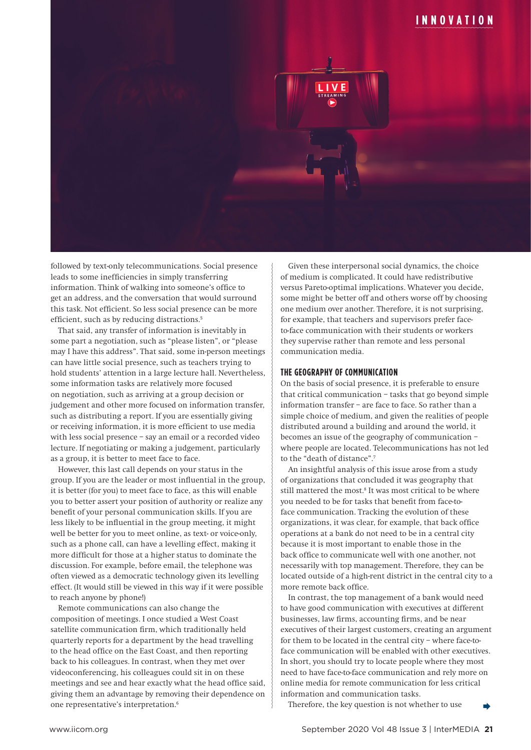# **INNOVATION**



followed by text-only telecommunications. Social presence leads to some inefficiencies in simply transferring information. Think of walking into someone's office to get an address, and the conversation that would surround this task. Not efficient. So less social presence can be more efficient, such as by reducing distractions.<sup>5</sup>

That said, any transfer of information is inevitably in some part a negotiation, such as "please listen", or "please may I have this address". That said, some in-person meetings can have little social presence, such as teachers trying to hold students' attention in a large lecture hall. Nevertheless, some information tasks are relatively more focused on negotiation, such as arriving at a group decision or judgement and other more focused on information transfer, such as distributing a report. If you are essentially giving or receiving information, it is more efficient to use media with less social presence – say an email or a recorded video lecture. If negotiating or making a judgement, particularly as a group, it is better to meet face to face.

However, this last call depends on your status in the group. If you are the leader or most influential in the group, it is better (for you) to meet face to face, as this will enable you to better assert your position of authority or realize any benefit of your personal communication skills. If you are less likely to be influential in the group meeting, it might well be better for you to meet online, as text- or voice-only, such as a phone call, can have a levelling effect, making it more difficult for those at a higher status to dominate the discussion. For example, before email, the telephone was often viewed as a democratic technology given its levelling effect. (It would still be viewed in this way if it were possible to reach anyone by phone!)

Remote communications can also change the composition of meetings. I once studied a West Coast satellite communication firm, which traditionally held quarterly reports for a department by the head travelling to the head office on the East Coast, and then reporting back to his colleagues. In contrast, when they met over videoconferencing, his colleagues could sit in on these meetings and see and hear exactly what the head office said, giving them an advantage by removing their dependence on one representative's interpretation.6

Given these interpersonal social dynamics, the choice of medium is complicated. It could have redistributive versus Pareto-optimal implications. Whatever you decide, some might be better off and others worse off by choosing one medium over another. Therefore, it is not surprising, for example, that teachers and supervisors prefer faceto-face communication with their students or workers they supervise rather than remote and less personal communication media.

## **THE GEOGRAPHY OF COMMUNICATION**

On the basis of social presence, it is preferable to ensure that critical communication – tasks that go beyond simple information transfer – are face to face. So rather than a simple choice of medium, and given the realities of people distributed around a building and around the world, it becomes an issue of the geography of communication – where people are located. Telecommunications has not led to the "death of distance".7

An insightful analysis of this issue arose from a study of organizations that concluded it was geography that still mattered the most.<sup>8</sup> It was most critical to be where you needed to be for tasks that benefit from face-toface communication. Tracking the evolution of these organizations, it was clear, for example, that back office operations at a bank do not need to be in a central city because it is most important to enable those in the back office to communicate well with one another, not necessarily with top management. Therefore, they can be located outside of a high-rent district in the central city to a more remote back office.

In contrast, the top management of a bank would need to have good communication with executives at different businesses, law firms, accounting firms, and be near executives of their largest customers, creating an argument for them to be located in the central city – where face-toface communication will be enabled with other executives. In short, you should try to locate people where they most need to have face-to-face communication and rely more on online media for remote communication for less critical information and communication tasks.

Therefore, the key question is not whether to use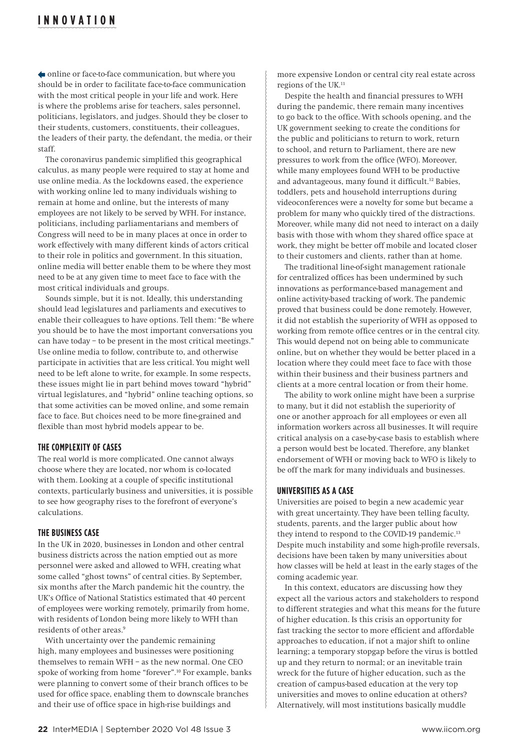# **INNOVATION**

online or face-to-face communication, but where you should be in order to facilitate face-to-face communication with the most critical people in your life and work. Here is where the problems arise for teachers, sales personnel, politicians, legislators, and judges. Should they be closer to their students, customers, constituents, their colleagues, the leaders of their party, the defendant, the media, or their staff.

The coronavirus pandemic simplified this geographical calculus, as many people were required to stay at home and use online media. As the lockdowns eased, the experience with working online led to many individuals wishing to remain at home and online, but the interests of many employees are not likely to be served by WFH. For instance, politicians, including parliamentarians and members of Congress will need to be in many places at once in order to work effectively with many different kinds of actors critical to their role in politics and government. In this situation, online media will better enable them to be where they most need to be at any given time to meet face to face with the most critical individuals and groups.

Sounds simple, but it is not. Ideally, this understanding should lead legislatures and parliaments and executives to enable their colleagues to have options. Tell them: "Be where you should be to have the most important conversations you can have today – to be present in the most critical meetings." Use online media to follow, contribute to, and otherwise participate in activities that are less critical. You might well need to be left alone to write, for example. In some respects, these issues might lie in part behind moves toward "hybrid" virtual legislatures, and "hybrid" online teaching options, so that some activities can be moved online, and some remain face to face. But choices need to be more fine-grained and flexible than most hybrid models appear to be.

## **THE COMPLEXITY OF CASES**

The real world is more complicated. One cannot always choose where they are located, nor whom is co-located with them. Looking at a couple of specific institutional contexts, particularly business and universities, it is possible to see how geography rises to the forefront of everyone's calculations.

## **THE BUSINESS CASE**

In the UK in 2020, businesses in London and other central business districts across the nation emptied out as more personnel were asked and allowed to WFH, creating what some called "ghost towns" of central cities. By September, six months after the March pandemic hit the country, the UK's Office of National Statistics estimated that 40 percent of employees were working remotely, primarily from home, with residents of London being more likely to WFH than residents of other areas.9

With uncertainty over the pandemic remaining high, many employees and businesses were positioning themselves to remain WFH – as the new normal. One CEO spoke of working from home "forever".10 For example, banks were planning to convert some of their branch offices to be used for office space, enabling them to downscale branches and their use of office space in high-rise buildings and

more expensive London or central city real estate across regions of the UK.11

Despite the health and financial pressures to WFH during the pandemic, there remain many incentives to go back to the office. With schools opening, and the UK government seeking to create the conditions for the public and politicians to return to work, return to school, and return to Parliament, there are new pressures to work from the office (WFO). Moreover, while many employees found WFH to be productive and advantageous, many found it difficult.12 Babies, toddlers, pets and household interruptions during videoconferences were a novelty for some but became a problem for many who quickly tired of the distractions. Moreover, while many did not need to interact on a daily basis with those with whom they shared office space at work, they might be better off mobile and located closer to their customers and clients, rather than at home.

The traditional line-of-sight management rationale for centralized offices has been undermined by such innovations as performance-based management and online activity-based tracking of work. The pandemic proved that business could be done remotely. However, it did not establish the superiority of WFH as opposed to working from remote office centres or in the central city. This would depend not on being able to communicate online, but on whether they would be better placed in a location where they could meet face to face with those within their business and their business partners and clients at a more central location or from their home.

The ability to work online might have been a surprise to many, but it did not establish the superiority of one or another approach for all employees or even all information workers across all businesses. It will require critical analysis on a case-by-case basis to establish where a person would best be located. Therefore, any blanket endorsement of WFH or moving back to WFO is likely to be off the mark for many individuals and businesses.

#### **UNIVERSITIES AS A CASE**

Universities are poised to begin a new academic year with great uncertainty. They have been telling faculty, students, parents, and the larger public about how they intend to respond to the COVID-19 pandemic.<sup>13</sup> Despite much instability and some high-profile reversals, decisions have been taken by many universities about how classes will be held at least in the early stages of the coming academic year.

In this context, educators are discussing how they expect all the various actors and stakeholders to respond to different strategies and what this means for the future of higher education. Is this crisis an opportunity for fast tracking the sector to more efficient and affordable approaches to education, if not a major shift to online learning; a temporary stopgap before the virus is bottled up and they return to normal; or an inevitable train wreck for the future of higher education, such as the creation of campus-based education at the very top universities and moves to online education at others? Alternatively, will most institutions basically muddle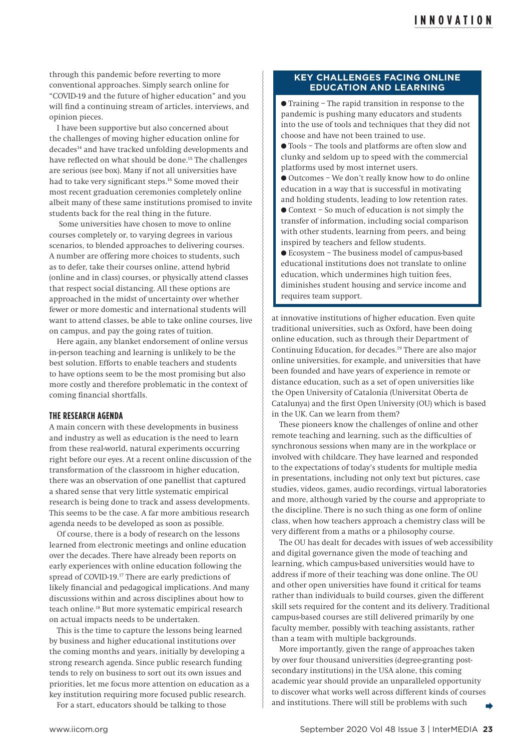through this pandemic before reverting to more conventional approaches. Simply search online for "COVID-19 and the future of higher education" and you will find a continuing stream of articles, interviews, and opinion pieces.

I have been supportive but also concerned about the challenges of moving higher education online for decades<sup>14</sup> and have tracked unfolding developments and have reflected on what should be done.<sup>15</sup> The challenges are serious (see box). Many if not all universities have had to take very significant steps.<sup>16</sup> Some moved their most recent graduation ceremonies completely online albeit many of these same institutions promised to invite students back for the real thing in the future.

 Some universities have chosen to move to online courses completely or, to varying degrees in various scenarios, to blended approaches to delivering courses. A number are offering more choices to students, such as to defer, take their courses online, attend hybrid (online and in class) courses, or physically attend classes that respect social distancing. All these options are approached in the midst of uncertainty over whether fewer or more domestic and international students will want to attend classes, be able to take online courses, live on campus, and pay the going rates of tuition.

Here again, any blanket endorsement of online versus in-person teaching and learning is unlikely to be the best solution. Efforts to enable teachers and students to have options seem to be the most promising but also more costly and therefore problematic in the context of coming financial shortfalls.

#### **THE RESEARCH AGENDA**

A main concern with these developments in business and industry as well as education is the need to learn from these real-world, natural experiments occurring right before our eyes. At a recent online discussion of the transformation of the classroom in higher education, there was an observation of one panellist that captured a shared sense that very little systematic empirical research is being done to track and assess developments. This seems to be the case. A far more ambitious research agenda needs to be developed as soon as possible.

Of course, there is a body of research on the lessons learned from electronic meetings and online education over the decades. There have already been reports on early experiences with online education following the spread of COVID-19.17 There are early predictions of likely financial and pedagogical implications. And many discussions within and across disciplines about how to teach online.18 But more systematic empirical research on actual impacts needs to be undertaken.

This is the time to capture the lessons being learned by business and higher educational institutions over the coming months and years, initially by developing a strong research agenda. Since public research funding tends to rely on business to sort out its own issues and priorities, let me focus more attention on education as a key institution requiring more focused public research.

For a start, educators should be talking to those

#### **KEY CHALLENGES FACING ONLINE EDUCATION AND LEARNING**

 $\bullet$  Training – The rapid transition in response to the pandemic is pushing many educators and students into the use of tools and techniques that they did not choose and have not been trained to use.

l Tools – The tools and platforms are often slow and clunky and seldom up to speed with the commercial platforms used by most internet users.

l Outcomes – We don't really know how to do online education in a way that is successful in motivating and holding students, leading to low retention rates.

l Context – So much of education is not simply the transfer of information, including social comparison with other students, learning from peers, and being inspired by teachers and fellow students.

l Ecosystem – The business model of campus-based educational institutions does not translate to online education, which undermines high tuition fees, diminishes student housing and service income and requires team support.

at innovative institutions of higher education. Even quite traditional universities, such as Oxford, have been doing online education, such as through their Department of Continuing Education, for decades.19 There are also major online universities, for example, and universities that have been founded and have years of experience in remote or distance education, such as a set of open universities like the Open University of Catalonia (Universitat Oberta de Catalunya) and the first Open University (OU) which is based in the UK. Can we learn from them?

These pioneers know the challenges of online and other remote teaching and learning, such as the difficulties of synchronous sessions when many are in the workplace or involved with childcare. They have learned and responded to the expectations of today's students for multiple media in presentations, including not only text but pictures, case studies, videos, games, audio recordings, virtual laboratories and more, although varied by the course and appropriate to the discipline. There is no such thing as one form of online class, when how teachers approach a chemistry class will be very different from a maths or a philosophy course.

The OU has dealt for decades with issues of web accessibility and digital governance given the mode of teaching and learning, which campus-based universities would have to address if more of their teaching was done online. The OU and other open universities have found it critical for teams rather than individuals to build courses, given the different skill sets required for the content and its delivery. Traditional campus-based courses are still delivered primarily by one faculty member, possibly with teaching assistants, rather than a team with multiple backgrounds.

More importantly, given the range of approaches taken by over four thousand universities (degree-granting postsecondary institutions) in the USA alone, this coming academic year should provide an unparalleled opportunity to discover what works well across different kinds of courses and institutions. There will still be problems with such